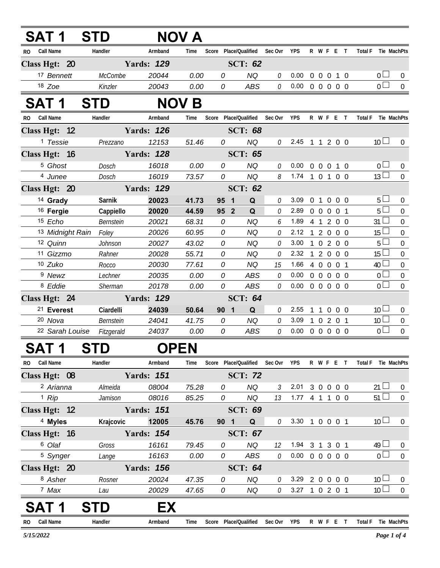| SAT 1                   | <b>STD</b>     |                   | NOV A        |                                   |                |             |            |                                  |                                  |                                   |
|-------------------------|----------------|-------------------|--------------|-----------------------------------|----------------|-------------|------------|----------------------------------|----------------------------------|-----------------------------------|
| Call Name<br>RO.        | Handler        | Armband           | Time         | Score Place/Qualified Sec Ovr YPS |                |             |            |                                  | R W F E T                        | <b>Total F</b><br>Tie MachPts     |
| Class Hgt: 20           |                | <b>Yards: 129</b> |              |                                   | <b>SCT: 62</b> |             |            |                                  |                                  |                                   |
| 17 Bennett              | <b>McCombe</b> | 20044             | 0.00         | 0                                 | <b>NQ</b>      | 0           | 0.00       | $\overline{0}$<br>$\overline{0}$ | $\overline{0}$<br>1 0            | 0 <sub>1</sub><br>$\overline{0}$  |
| $18$ Zoe                | Kinzler        | 20043             | 0.00         | 0                                 | ABS            | 0           | 0.00       |                                  | 0 0 0 0 0                        | $\overline{0}$<br>$\overline{0}$  |
| <b>SAT 1</b>            | STD            |                   | <b>NOV B</b> |                                   |                |             |            |                                  |                                  |                                   |
| <b>Call Name</b><br>RO. | Handler        | Armband           | Time         | Score Place/Qualified             |                | Sec Ovr     | <b>YPS</b> |                                  | R W F E T                        | <b>Total F</b><br>Tie MachPts     |
| Class Hgt: 12           |                | <b>Yards: 126</b> |              |                                   | <b>SCT: 68</b> |             |            |                                  |                                  |                                   |
| <sup>1</sup> Tessie     | Prezzano       | 12153             | 51.46        | 0                                 | <b>NQ</b>      | 0           |            |                                  | 2.45 1 1 2 0 0                   | 10 <sup>1</sup><br>$\overline{0}$ |
| Class Hgt: 16           |                | <b>Yards: 128</b> |              |                                   | <b>SCT: 65</b> |             |            |                                  |                                  |                                   |
| <sup>5</sup> Ghost      | Dosch          | 16018             | 0.00         | 0                                 | <b>NQ</b>      | 0           | 0.00       | $\overline{0}$<br>$\overline{0}$ | $\overline{0}$<br>$1\quad0$      | $\overline{0}$<br>$\overline{0}$  |
| 4 Junee                 | <b>Dosch</b>   | 16019             | 73.57        | 0                                 | <b>NQ</b>      | 8           | 1.74       |                                  | 1 0 1 0 0                        | 13 <sup>1</sup><br>$\overline{0}$ |
| Class Hgt: 20           |                | <b>Yards: 129</b> |              |                                   | <b>SCT: 62</b> |             |            |                                  |                                  |                                   |
| <sup>14</sup> Grady     | Sarnik         | 20023             | 41.73        | 95<br>1                           | Q              | 0           | 3.09       | $\overline{0}$<br>$\overline{1}$ | $\overline{0}$<br>$0\quad 0$     | $5 \Box$<br>0                     |
| <sup>16</sup> Fergie    | Cappiello      | 20020             | 44.59        | 95 <sup>2</sup>                   | Q              | 0           | 2.89       | $0\quad 0$                       | $\overline{0}$<br>0 <sub>1</sub> | $5\Box$<br>$\overline{0}$         |
| 15 Echo                 | Bernstein      | 20021             | 68.31        | 0                                 | <b>NQ</b>      | 6           | 1.89       |                                  | 4 1 2 0 0                        | $31 \Box$<br>$\mathbf 0$          |
| 13 Midnight Rain        | Foley          | 20026             | 60.95        | 0                                 | <b>NQ</b>      | 0           | 2.12       | 120                              | $0\quad 0$                       | $15 \Box$<br>$\overline{0}$       |
| 12 Quinn                | Johnson        | 20027             | 43.02        | 0                                 | <b>NQ</b>      | 0           | 3.00       | $\mathbf{1}$                     | 0 2 0 0                          | 5 <sub>1</sub><br>$\overline{0}$  |
| 11 Gizzmo               | Rahner         | 20028             | 55.71        | 0                                 | <b>NQ</b>      | 0           | 2.32       | $1 2 0$                          | $0\quad 0$                       | $15 \Box$<br>$\overline{0}$       |
| 10 Zuko                 | Rocco          | 20030             | 77.61        | 0                                 | <b>NQ</b>      | 15          | 1.66       |                                  | 4 0 0 0 1                        | $40\Box$<br>$\mathbf 0$           |
| 9 Newz                  | Lechner        | 20035             | 0.00         | 0                                 | ABS            | 0           | 0.00       | $0\quad 0$                       | $\overline{0}$<br>$0\quad 0$     | 0 <sub>0</sub><br>$\mathbf 0$     |
| <sup>8</sup> Eddie      | Sherman        | 20178             | 0.00         | 0                                 | <b>ABS</b>     | 0           | 0.00       |                                  | 0 0 0 0 0                        | 0 <sub>0</sub><br>$\overline{0}$  |
| Class Hgt: 24           |                | <b>Yards: 129</b> |              |                                   | <b>SCT: 64</b> |             |            |                                  |                                  |                                   |
| <sup>21</sup> Everest   | Ciardelli      | 24039             | 50.64        | 90<br>$\blacksquare$              | Q              | 0           | 2.55       | $\mathbf{1}$<br>$\overline{1}$   | $\overline{0}$<br>$0\quad 0$     | 10<br>$\overline{0}$              |
| 20 Nova                 | Bernstein      | 24041             | 41.75        | 0                                 | <b>NQ</b>      | 0           | 3.09       | $\mathbf{1}$                     | 0201                             | 10 <sup>1</sup><br>$\mathbf 0$    |
| 22 Sarah Louise         | Fitzgerald     | 24037             | 0.00         | 0                                 | <b>ABS</b>     | 0           | 0.00       | $0\quad 0\quad 0$                | $0\quad 0$                       | 0 <sub>0</sub><br>$\mathbf 0$     |
| 5A I<br>- 71            | SID            | <b>OPEN</b>       |              |                                   |                |             |            |                                  |                                  |                                   |
| RO Call Name            | Handler        | Armband           | Time         | Score Place/Qualified             |                | Sec Ovr YPS |            |                                  | R W F E T                        | Total F Tie MachPts               |
| Class Hgt: 08           |                | <b>Yards: 151</b> |              |                                   | <b>SCT: 72</b> |             |            |                                  |                                  |                                   |
| 2 Arianna               | Almeida        | 08004             | 75.28        | 0                                 | <b>NQ</b>      | 3           | 2.01       |                                  | 3 0 0 0 0                        | $21 \Box$<br>$\overline{0}$       |
| $1$ Rip                 | Jamison        | 08016             | 85.25        | 0                                 | <b>NQ</b>      | 13          |            |                                  | 1.77 4 1 1 0 0                   | $51 \Box$<br>$\mathbf 0$          |
| Class Hgt: 12           |                | <b>Yards: 151</b> |              |                                   | <b>SCT: 69</b> |             |            |                                  |                                  |                                   |
| <sup>4</sup> Myles      | Krajcovic      | 12005             | 45.76        | 90 1                              | Q              | 0           |            |                                  | 3.30 1 0 0 0 1                   | 10 <sup>1</sup><br>$\pmb{0}$      |
| Class Hgt: 16           |                | <b>Yards: 154</b> |              |                                   | <b>SCT: 67</b> |             |            |                                  |                                  |                                   |
| 6 Olaf                  | Gross          | 16161             | 79.45        | 0                                 | NQ             | 12          | 1.94       | 3 <sub>1</sub>                   | 3 0 1                            | $49 \Box$<br>$\pmb{0}$            |
| <sup>5</sup> Synger     | Lange          | 16163             | 0.00         | 0                                 | ABS            | 0           |            |                                  | $0.00 \t0 \t0 \t0 \t0 \t0$       | 0 <sub>1</sub><br>$\overline{0}$  |

| SAT <sub>1</sub>    | STD    | FX                |         |   |                |               |            |                |  |     |              |     |
|---------------------|--------|-------------------|---------|---|----------------|---------------|------------|----------------|--|-----|--------------|-----|
| 7 Max               | Lau    | 20029             | 47.65   | 0 | ΝQ             | ſ.            | 3.27       |                |  |     | 10           |     |
| 8 Asher             | Rosner | 20024             | 47.35   | 0 | ΝQ             | ſ.            | 3.29       | 20000          |  |     | 10           |     |
| Class Hgt: 20       |        | <b>Yards: 156</b> |         |   | <b>SCT: 64</b> |               |            |                |  |     |              |     |
| <sup>5</sup> Synger | Lange  | 16163             | 0.00    | 0 | ABS            | ſ)            | 0.00       | 0 <sub>0</sub> |  | 0 O |              |     |
| ∪ ∪ial              | UI USS | 10101             | 79.40 I | υ | שעו            | $\mathcal{L}$ | 1.94 S S U |                |  |     | $49 \square$ | - U |

RO Call Name **Thandler Handler** Armband Time Score Place/Qualified SecOvr YPS R W F E T Total F Tie MachPts

**R**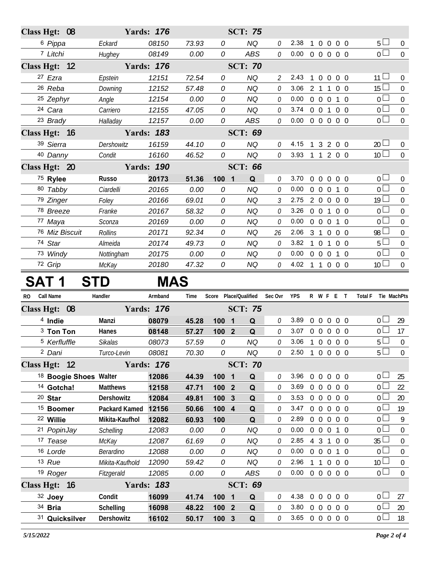| Class Hgt: 08                     |                     | <b>Yards: 176</b> |                |                  | <b>SCT: 75</b>         |               |                |                |                   |                        |            |                                   |                                  |
|-----------------------------------|---------------------|-------------------|----------------|------------------|------------------------|---------------|----------------|----------------|-------------------|------------------------|------------|-----------------------------------|----------------------------------|
| <sup>6</sup> Pippa                | Eckard              | 08150             | 73.93          | 0                | <b>NQ</b>              | 0             | 2.38           |                |                   | 1 0 0 0 0              |            | 5 <sub>1</sub>                    | $\overline{0}$                   |
| 7 Litchi                          | Hughey              | 08149             | 0.00           | 0                | <b>ABS</b>             | 0             | 0.00           |                |                   | 0 0 0 0 0              |            | $\overline{0}$                    | $\overline{0}$                   |
| Class Hgt: 12                     |                     | <b>Yards: 176</b> |                | <b>SCT: 70</b>   |                        |               |                |                |                   |                        |            |                                   |                                  |
| 27 Ezra                           | Epstein             | 12151             | 72.54          | 0                | <b>NQ</b>              | $\mathcal{Z}$ | 2.43           |                |                   | 1 0 0 0 0              |            | 11 <sup>1</sup>                   | $\overline{0}$                   |
| 26 Reba                           | Downing             | 12152             | 57.48          | 0                | <b>NQ</b>              | 0             | 3.06           |                | 2 1 1             |                        | $0\quad 0$ | 15 <sup>L</sup>                   | $\mathbf 0$                      |
| <sup>25</sup> Zephyr              | Angle               | 12154             | 0.00           | 0                | <b>NQ</b>              | 0             | 0.00           |                | $0\quad 0\quad 0$ |                        | $1\quad0$  | 0 l                               | $\mathbf 0$                      |
| 24 Cara                           | Carriero            | 12155             | 47.05          | 0                | <b>NQ</b>              | 0             | 3.74           |                |                   | 0 0 1 0 0              |            | $0-$                              | $\boldsymbol{0}$                 |
| 23 Brady                          | Halladay            | 12157             | 0.00           | 0                | <b>ABS</b>             | 0             | 0.00           |                |                   | 0 0 0 0 0              |            | 0 <sub>0</sub>                    | $\mathbf 0$                      |
| Class Hgt: 16                     |                     | <b>Yards: 183</b> |                |                  | <b>SCT: 69</b>         |               |                |                |                   |                        |            |                                   |                                  |
| 39 Sierra                         | Dershowitz          | 16159             | 44.10          | 0                | <b>NQ</b>              | 0             | 4.15           |                |                   | 13200                  |            | $20 \Box$                         | $\overline{0}$                   |
| 40 Danny                          | Condit              | 16160             | 46.52          | 0                | <b>NQ</b>              | 0             | 3.93 1 1 2 0 0 |                |                   |                        |            | 10 <sup>1</sup>                   | $\mathbf 0$                      |
| Class Hgt: 20                     |                     | <b>Yards: 190</b> |                |                  | <b>SCT: 66</b>         |               |                |                |                   |                        |            |                                   |                                  |
| 75 Rylee                          | <b>Russo</b>        | 20173             | 51.36          | 100 1            | Q                      | 0             | 3.70           | $\mathbf 0$    | $\overline{0}$    | $\overline{0}$         | $0\quad 0$ | $0-$                              | $\pmb{0}$                        |
| 80 Tabby                          | Ciardelli           | 20165             | 0.00           | 0                | <b>NQ</b>              | 0             | 0.00           |                | $0\quad 0$        | $\overline{0}$         | $1\quad0$  | 0 L                               | $\boldsymbol{0}$                 |
| 79 Zinger                         | Foley               | 20166             | 69.01          | 0                | <b>NQ</b>              | 3             | 2.75           |                | 200               |                        | $0\quad 0$ | $19\perp$                         | $\mathbf 0$                      |
| 78 Breeze                         | Franke              | 20167             | 58.32          | 0                | <b>NQ</b>              | 0             | 3.26           |                |                   | 0 0 1 0 0              |            | 0 <sup>1</sup>                    | $\mathbf 0$                      |
| 77 Maya                           | Sconza              | 20169             | 0.00           | 0                | <b>NQ</b>              | 0             | 0.00           |                |                   | 0 0 0 1 0              |            | 0 <sup>2</sup>                    | $\mathbf 0$                      |
| 76 Miz Biscuit                    | Rollins             | 20171             | 92.34          | 0                | <b>NQ</b>              | 26            | 2.06           |                |                   | 3 1 0 0 0              |            | 98 L                              | $\boldsymbol{0}$                 |
| 74 Star                           | Almeida             | 20174             | 49.73          | 0                | <b>NQ</b>              | 0             | 3.82<br>0.00   |                | $1 \t0 \t1$       |                        | $0\quad 0$ | $5+$<br>0 <sub>0</sub>            | $\boldsymbol{0}$                 |
| 73 Windy<br>72 Grip               | Nottingham<br>McKay | 20175<br>20180    | 0.00<br>47.32  | 0<br>0           | <b>NQ</b><br><b>NQ</b> | 0<br>0        | 4.02 1 1 0 0 0 |                |                   | 0 0 0 1 0              |            | 10 <sup>1</sup>                   | $\overline{0}$<br>$\overline{0}$ |
|                                   |                     |                   |                |                  |                        |               |                |                |                   |                        |            |                                   |                                  |
|                                   |                     |                   |                |                  |                        |               |                |                |                   |                        |            |                                   |                                  |
| SAT 1<br>S1                       | ГD                  | <b>MAS</b>        |                |                  |                        |               |                |                |                   |                        |            |                                   |                                  |
| Call Name<br>RO.                  | Handler             | Armband           | Time           |                  | Score Place/Qualified  | Sec Ovr       | <b>YPS</b>     |                |                   | R W F E T              |            | <b>Total F</b><br>Tie MachPts     |                                  |
| Class Hgt: 08                     |                     | <b>Yards: 176</b> |                |                  | <b>SCT: 75</b>         |               |                |                |                   |                        |            |                                   |                                  |
| <sup>4</sup> Indie                | Manzi               | 08079             | 45.28          | 1001             | Q                      | 0             | 3.89           | $\overline{0}$ | $\overline{0}$    | $\overline{0}$         | $0\quad 0$ | 0 <sub>0</sub>                    | 29                               |
| <sup>3</sup> Ton Ton              | Hanes               | 08148             | 57.27          | 100 2            | Q                      | 0             | 3.07           |                | $0\quad 0\quad 0$ |                        | $0\quad 0$ | 0 <sub>1</sub>                    | 17                               |
| <sup>5</sup> Kerfluffle           | Sikalas             | 08073             | 57.59          | 0                | <b>NQ</b>              | 0             | 3.06           |                |                   | 1 0 0 0 0              |            | $5\Box$                           | $\mathbf 0$                      |
| <sup>2</sup> Dani                 | Turco-Levin         | 08081             | 70.30          | 0                | NQ                     | 0             | 2.50 1 0 0 0 0 |                |                   |                        |            | $5\Box$                           | $\overline{0}$                   |
| Class Hgt: 12                     |                     | <b>Yards: 176</b> |                |                  | <b>SCT: 70</b>         |               |                |                |                   |                        |            |                                   |                                  |
| <sup>18</sup> Boogie Shoes Walter |                     | 12086             | 44.39          | $100 1$          | Q                      | 0             | 3.96           |                |                   | 0 0 0 0 0              |            | 0 <sub>0</sub>                    | 25                               |
| <sup>14</sup> Gotcha!             | <b>Matthews</b>     | 12158             | 47.71          | 100 2            | Q                      | 0             | 3.69           |                |                   | 0 0 0 0 0              |            | 0 <sub>0</sub>                    | 22                               |
| $20$ Star                         | Dershowitz          | 12084             | 49.81          | 100 3            | Q                      | 0             | 3.53           |                |                   | 0 0 0 0 0              |            | $0-$                              | 20                               |
| <sup>15</sup> Boomer              | Packard Kamed       | 12156             | 50.66          | 100 4            | Q                      | 0             | 3.47           |                |                   | 0 0 0 0 0              |            | 0 <sub>0</sub>                    | 19                               |
| 22 Willie                         | Mikita-Kaufhol      | 12082             | 60.93          | 100              | Q                      | 0             | 2.89           |                |                   | 0 0 0 0 0              |            | 0 <sup>1</sup>                    | 9                                |
| 21 PopinJay                       | Schelling           | 12083             | 0.00           | 0                | <b>NQ</b>              | 0             | 0.00           |                |                   | 0 0 0 1 0              |            | 0 <sub>0</sub>                    | $\overline{0}$                   |
| 17 Tease                          | McKay               | 12087             | 61.69          | 0                | <b>NQ</b>              | 0             | 2.85           |                |                   | 4 3 1 0 0              |            | $35 \perp$                        | $\mathbf 0$                      |
| 16 Lorde                          | Berardino           | 12088             | 0.00           | 0                | <b>NQ</b>              | 0             | 0.00           |                |                   | 0 0 0 1 0              |            | $0 -$                             | $\overline{0}$                   |
| 13 Rue                            | Mikita-Kaufhold     | 12090             | 59.42          | 0                | <b>NQ</b>              | 0             | 2.96           |                |                   | 1 1 0 0 0              |            | 10 <sup>L</sup><br>0 <sup>1</sup> | $\boldsymbol{0}$                 |
| 19 Roger                          | Fitzgerald          | 12085             | 0.00           | 0                | ABS                    | 0             | 0.00           |                |                   | 0 0 0 0 0              |            |                                   | $\overline{0}$                   |
| Class Hgt: 16                     | Condit              | <b>Yards: 183</b> |                |                  | <b>SCT: 69</b>         | 0             | 4.38           |                |                   |                        |            | 0 <sub>0</sub>                    |                                  |
| 32 Joey<br>$34$ Bria              | Schelling           | 16099<br>16098    | 41.74<br>48.22 | $100 1$<br>100 2 | Q<br>Q                 | 0             | 3.80           |                |                   | 0 0 0 0 0<br>0 0 0 0 0 |            | $0-$                              | 27<br>20                         |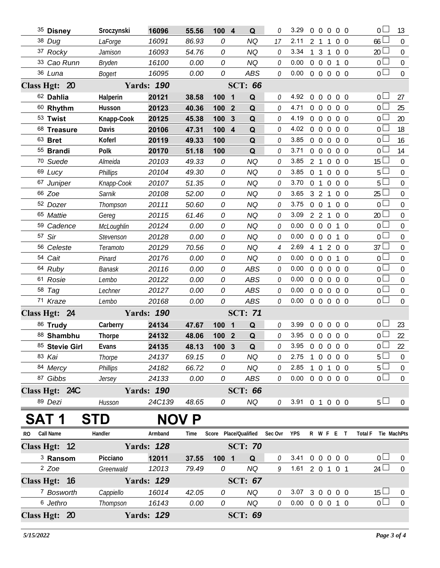|              | 35 Disney             | Sroczynski      | 16096             | 55.56        | 100 4 | Q                            |                | 3.29                       | $\Omega$       | $\overline{0}$ | $\overline{0}$ | 0 <sub>0</sub>                 | 0 <sup>2</sup>                      | 13               |
|--------------|-----------------------|-----------------|-------------------|--------------|-------|------------------------------|----------------|----------------------------|----------------|----------------|----------------|--------------------------------|-------------------------------------|------------------|
|              | 38 Dug                | LaForge         | 16091             | 86.93        | 0     | <b>NQ</b>                    | 17             | 2.11                       | 2 <sub>1</sub> |                | 1              | $0\quad 0$                     | 66                                  | $\overline{0}$   |
|              | 37 Rocky              | Jamison         | 16093             | 54.76        | 0     | <b>NQ</b>                    | 0              | 3.34                       |                | 1 <sub>3</sub> | $\overline{1}$ | $0\quad 0$                     | 20 <sup>2</sup>                     | $\Omega$         |
|              | 33 Cao Runn           | Bryden          | 16100             | 0.00         | 0     | <b>NQ</b>                    | 0              | 0.00                       | $\overline{0}$ | $\overline{0}$ | $\theta$       | $1\quad$ 0                     | 0 <sup>1</sup>                      | $\mathbf 0$      |
|              | 36 Luna               | <b>Bogert</b>   | 16095             | 0.00         | 0     | ABS                          | 0              | 0.00                       |                |                |                | 00000                          | $\overline{0}$                      | $\overline{0}$   |
|              | Class Hgt: 20         |                 | <b>Yards: 190</b> |              |       | <b>SCT: 66</b>               |                |                            |                |                |                |                                |                                     |                  |
|              | 62 Dahlia             | Halperin        | 20121             | 38.58        | 100   | Q<br>$\overline{\mathbf{1}}$ | 0              | 4.92                       | $\Omega$       | $\overline{0}$ | $\Omega$       | $0\quad 0$                     | $0 -$                               | 27               |
|              | 60 Rhythm             | Husson          | 20123             | 40.36        | 100   | $\overline{2}$<br>Q          | 0              | 4.71                       |                | $0\quad 0$     | $\overline{0}$ | 0 <sub>0</sub>                 | $\overline{0}$                      | 25               |
|              | 53 Twist              | Knapp-Cook      | 20125             | 45.38        | 100   | $\mathbf{3}$<br>Q            | O              | 4.19                       |                | $0\quad 0$     | $\overline{0}$ | $0\quad 0$                     | $\overline{0}$                      | 20               |
|              | 68 Treasure           | Davis           | 20106             | 47.31        | 100   | $\overline{4}$<br>Q          | 0              | 4.02                       |                | $0\quad 0$     | $\mathbf 0$    | $0\quad 0$                     | $\overline{0}$                      | 18               |
|              | $63$ Bret             | Koferl          | 20119             | 49.33        | 100   | Q                            | O              | 3.85                       |                | $0\quad 0$     | $\overline{0}$ | $0\quad 0$                     | $0\Box$                             | 16               |
|              | 55 Brandi             | Polk            | 20170             | 51.18        | 100   | Q                            | 0              | 3.71                       |                | 0 <sub>0</sub> | $\overline{0}$ | 0 <sub>0</sub>                 | $\overline{0}$                      | 14               |
|              | 70 Suede              | Almeida         | 20103             | 49.33        | 0     | <b>NQ</b>                    | O              | 3.85                       |                | 2 <sub>1</sub> | $\overline{0}$ | $0\quad 0$                     | $15 \Box$                           | $\Omega$         |
|              | 69 Lucy               | <b>Phillips</b> | 20104             | 49.30        | 0     | <b>NQ</b>                    | 0              | 3.85                       | $\overline{0}$ | $\overline{1}$ | $\overline{0}$ | $0\quad 0$                     | $5\Box$                             | $\mathbf 0$      |
|              | 67 Juniper            | Knapp-Cook      | 20107             | 51.35        | 0     | <b>NQ</b>                    | O              | 3.70                       |                | 0 <sub>1</sub> | $\overline{0}$ | 0 <sub>0</sub>                 | 5 <sub>1</sub>                      | $\overline{0}$   |
|              | 66 Zoe                | Sarnik          | 20108             | 52.00        | 0     | <b>NQ</b>                    | 0              | 3.65                       |                | 3 <sup>2</sup> | $\mathbf{1}$   | 0 <sub>0</sub>                 | $25\Box$                            | $\mathbf 0$      |
|              | 52 Dozer              | Thompson        | 20111             | 50.60        | 0     | <b>NQ</b>                    | O              | 3.75                       |                | $0\quad 0$     | 1              | $0\quad 0$                     | $\overline{0}$                      | $\mathbf 0$      |
|              | 65 Mattie             | Gereg           | 20115             | 61.46        | 0     | <b>NQ</b>                    | 0              | 3.09                       |                | $2 \t2 \t1$    |                | 0 <sub>0</sub>                 | 20 <sup>1</sup>                     | $\mathbf 0$      |
|              | <sup>59</sup> Cadence | McLoughlin      | 20124             | 0.00         | 0     | <b>NQ</b>                    | O              | 0.00                       |                | $0\quad 0$     | $\mathbf 0$    | $\overline{0}$<br>1            | 0 <sup>1</sup>                      | $\mathbf 0$      |
|              | 57 Sir                | Stevenson       | 20128             | 0.00         | 0     | <b>NQ</b>                    | 0              | 0.00                       |                | $0\quad 0$     | $\mathbf 0$    | $\mathbf{1}$<br>$\overline{0}$ | $\overline{0}$                      | $\mathbf 0$      |
|              | <sup>56</sup> Celeste | Teramoto        | 20129             | 70.56        | 0     | <b>NQ</b>                    | $\overline{4}$ | 2.69                       |                | 4 1            |                | 200                            | $37 \Box$                           | $\mathbf 0$      |
|              | 54 Cait               | Pinard          | 20176             | 0.00         | 0     | <b>NQ</b>                    | 0              | 0.00                       | $\overline{0}$ | $\overline{0}$ | $\mathbf 0$    | $\mathbf{1}$<br>$\Omega$       | $\overline{0}$                      | $\mathbf 0$      |
|              | 64 Ruby               | <b>Banask</b>   | 20116             | 0.00         | 0     | <b>ABS</b>                   | 0              | 0.00                       |                | $0\quad 0$     | $\overline{0}$ | $0\quad 0$                     | 0 <sub>1</sub>                      | $\mathbf 0$      |
|              | 61 Rosie              | Lembo           | 20122             | 0.00         | 0     | <b>ABS</b>                   | 0              | 0.00                       |                | $0\quad 0$     | $\overline{0}$ | $0\quad 0$                     | $\overline{0}$                      | $\boldsymbol{0}$ |
|              | 58 Tag                | Lechner         | 20127             | 0.00         | 0     | ABS                          | 0              | 0.00                       |                | $0\quad 0$     | $\overline{0}$ | $0\quad 0$                     | $\overline{0}$                      | $\mathbf 0$      |
|              | 71 Kraze              | Lembo           | 20168             | 0.00         | 0     | ABS                          | 0              | 0.00                       |                | $0\quad 0$     |                | $0\quad 0\quad 0$              | $\overline{0}$                      | $\overline{0}$   |
|              | Class Hgt: 24         |                 | <b>Yards: 190</b> |              |       | <b>SCT: 71</b>               |                |                            |                |                |                |                                |                                     |                  |
|              | 86 Trudy              | Carberry        | 24134             | 47.67        | 100   | Q<br>$\overline{\mathbf{1}}$ | 0              | 3.99                       |                | $0\quad 0$     | $\overline{0}$ | $0\quad 0$                     | 0 <sub>0</sub>                      | 23               |
|              | 88 Shambhu            | Thorpe          | 24132             | 48.06        | 100 2 | Q                            | O              | 3.95                       |                | $0\quad 0$     | $\overline{0}$ | $0\quad 0$                     | $\overline{0}$                      | 22               |
|              | 85 Stevie Girl        | Evans           | 24135             | 48.13        | 100 3 | Q                            | 0              | 3.95 0 0 0 0 0             |                |                |                |                                | $\overline{0}$ $\overline{\square}$ | 22               |
|              | 83 Kai                | Thorpe          | 24137             | 69.15        | 0     | <b>NQ</b>                    | 0              | 2.75                       |                |                |                | 1 0 0 0 0                      | $5\Box$                             | $\boldsymbol{0}$ |
|              | 84 Mercy              | Phillips        | 24182             | 66.72        | 0     | NQ                           | 0              | 2.85                       |                |                |                | 1 0 1 0 0                      | $5 \Box$                            | $\boldsymbol{0}$ |
|              | 87 Gibbs              | Jersey          | 24133             | 0.00         | 0     | ABS                          | 0              | $0.00 \t0 \t0 \t0 \t0 \t0$ |                |                |                |                                | $\overline{0}$                      | $\mathbf 0$      |
|              | Class Hgt: 24C        |                 | <b>Yards: 190</b> |              |       | <b>SCT: 66</b>               |                |                            |                |                |                |                                |                                     |                  |
|              | 89 Dezi               | Husson          | 24C139            | 48.65        | 0     | NQ                           | 0              | 3.91 0 1 0 0 0             |                |                |                |                                | $5 \Box$                            | $\overline{0}$   |
|              | <b>SAT1</b>           | <b>STD</b>      |                   | <b>NOV P</b> |       |                              |                |                            |                |                |                |                                |                                     |                  |
| RO Call Name |                       | Handler         | Armband           | Time         |       | Score Place/Qualified        | Sec Ovr YPS    |                            |                |                |                | R W F E T                      | Total F Tie MachPts                 |                  |
|              | Class Hgt: 12         |                 | <b>Yards: 128</b> |              |       | <b>SCT: 70</b>               |                |                            |                |                |                |                                |                                     |                  |
|              | <sup>3</sup> Ransom   | Picciano        | 12011             | 37.55        | 1001  | Q                            | 0              | 3.41 0 0 0 0 0             |                |                |                |                                | 0 <sub>0</sub>                      | $\overline{0}$   |
|              | $2$ Zoe               | Greenwald       | 12013             | 79.49        | 0     | <b>NQ</b>                    | 9              | 1.61 2 0 1 0 1             |                |                |                |                                | 24 $\Box$                           | $\boldsymbol{0}$ |
|              | Class Hgt: 16         |                 | <b>Yards: 129</b> |              |       | <b>SCT: 67</b>               |                |                            |                |                |                |                                |                                     |                  |
|              | 7 Bosworth            | Cappiello       | 16014             | 42.05        | 0     | NQ                           | 0              | 3.07 3 0 0 0 0             |                |                |                |                                | $15 \Box$                           | $\boldsymbol{0}$ |
|              | 6 Jethro              | Thompson        | 16143             | 0.00         | 0     | <b>NQ</b>                    | 0              | $0.00 \t0 \t0 \t0 \t1 \t0$ |                |                |                |                                | $\overline{0}$                      | $\mathbf 0$      |
|              | Class Hgt: 20         |                 | <b>Yards: 129</b> |              |       | <b>SCT: 69</b>               |                |                            |                |                |                |                                |                                     |                  |
|              |                       |                 |                   |              |       |                              |                |                            |                |                |                |                                |                                     |                  |